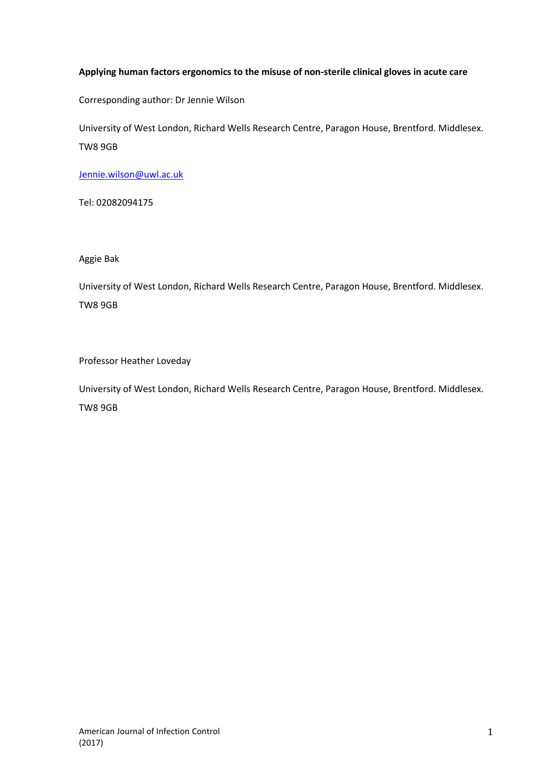# **Applying human factors ergonomics to the misuse of non-sterile clinical gloves in acute care**

Corresponding author: Dr Jennie Wilson

University of West London, Richard Wells Research Centre, Paragon House, Brentford. Middlesex. TW8 9GB

[Jennie.wilson@uwl.ac.uk](mailto:Jennie.wilson@uwl.ac.uk)

Tel: 02082094175

Aggie Bak

University of West London, Richard Wells Research Centre, Paragon House, Brentford. Middlesex. TW8 9GB

Professor Heather Loveday

University of West London, Richard Wells Research Centre, Paragon House, Brentford. Middlesex. TW8 9GB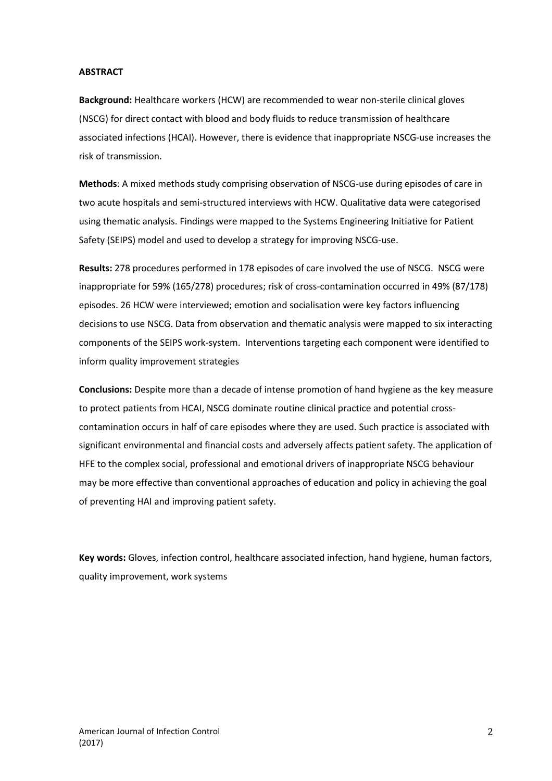### **ABSTRACT**

**Background:** Healthcare workers (HCW) are recommended to wear non-sterile clinical gloves (NSCG) for direct contact with blood and body fluids to reduce transmission of healthcare associated infections (HCAI). However, there is evidence that inappropriate NSCG-use increases the risk of transmission.

**Methods**: A mixed methods study comprising observation of NSCG-use during episodes of care in two acute hospitals and semi-structured interviews with HCW. Qualitative data were categorised using thematic analysis. Findings were mapped to the Systems Engineering Initiative for Patient Safety (SEIPS) model and used to develop a strategy for improving NSCG-use.

**Results:** 278 procedures performed in 178 episodes of care involved the use of NSCG. NSCG were inappropriate for 59% (165/278) procedures; risk of cross-contamination occurred in 49% (87/178) episodes. 26 HCW were interviewed; emotion and socialisation were key factors influencing decisions to use NSCG. Data from observation and thematic analysis were mapped to six interacting components of the SEIPS work-system. Interventions targeting each component were identified to inform quality improvement strategies

**Conclusions:** Despite more than a decade of intense promotion of hand hygiene as the key measure to protect patients from HCAI, NSCG dominate routine clinical practice and potential crosscontamination occurs in half of care episodes where they are used. Such practice is associated with significant environmental and financial costs and adversely affects patient safety. The application of HFE to the complex social, professional and emotional drivers of inappropriate NSCG behaviour may be more effective than conventional approaches of education and policy in achieving the goal of preventing HAI and improving patient safety.

**Key words:** Gloves, infection control, healthcare associated infection, hand hygiene, human factors, quality improvement, work systems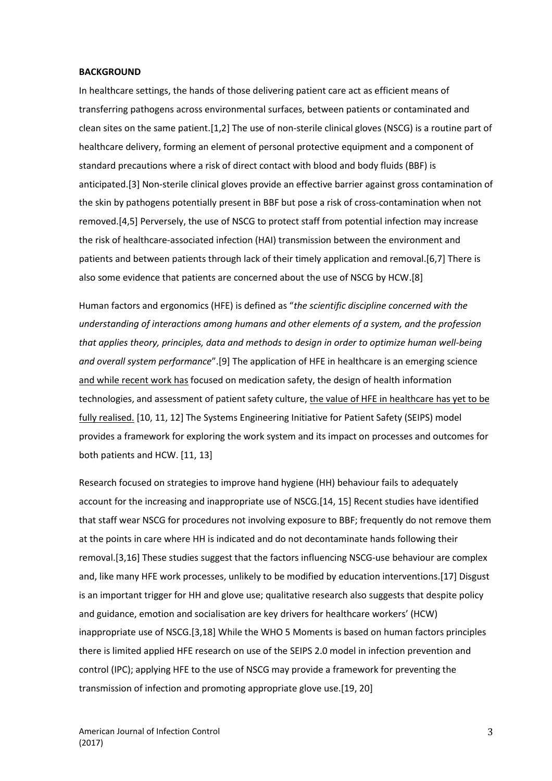### **BACKGROUND**

In healthcare settings, the hands of those delivering patient care act as efficient means of transferring pathogens across environmental surfaces, between patients or contaminated and clean sites on the same patient.[1,2] The use of non-sterile clinical gloves (NSCG) is a routine part of healthcare delivery, forming an element of personal protective equipment and a component of standard precautions where a risk of direct contact with blood and body fluids (BBF) is anticipated.[3] Non-sterile clinical gloves provide an effective barrier against gross contamination of the skin by pathogens potentially present in BBF but pose a risk of cross-contamination when not removed.[4,5] Perversely, the use of NSCG to protect staff from potential infection may increase the risk of healthcare-associated infection (HAI) transmission between the environment and patients and between patients through lack of their timely application and removal.[6,7] There is also some evidence that patients are concerned about the use of NSCG by HCW.[8]

Human factors and ergonomics (HFE) is defined as "*the scientific discipline concerned with the understanding of interactions among humans and other elements of a system, and the profession that applies theory, principles, data and methods to design in order to optimize human well-being and overall system performance*".[9] The application of HFE in healthcare is an emerging science and while recent work has focused on medication safety, the design of health information technologies, and assessment of patient safety culture, the value of HFE in healthcare has yet to be fully realised. [10, 11, 12] The Systems Engineering Initiative for Patient Safety (SEIPS) model provides a framework for exploring the work system and its impact on processes and outcomes for both patients and HCW. [11, 13]

Research focused on strategies to improve hand hygiene (HH) behaviour fails to adequately account for the increasing and inappropriate use of NSCG.[14, 15] Recent studies have identified that staff wear NSCG for procedures not involving exposure to BBF; frequently do not remove them at the points in care where HH is indicated and do not decontaminate hands following their removal.[3,16] These studies suggest that the factors influencing NSCG-use behaviour are complex and, like many HFE work processes, unlikely to be modified by education interventions.[17] Disgust is an important trigger for HH and glove use; qualitative research also suggests that despite policy and guidance, emotion and socialisation are key drivers for healthcare workers' (HCW) inappropriate use of NSCG.[3,18] While the WHO 5 Moments is based on human factors principles there is limited applied HFE research on use of the SEIPS 2.0 model in infection prevention and control (IPC); applying HFE to the use of NSCG may provide a framework for preventing the transmission of infection and promoting appropriate glove use.[19, 20]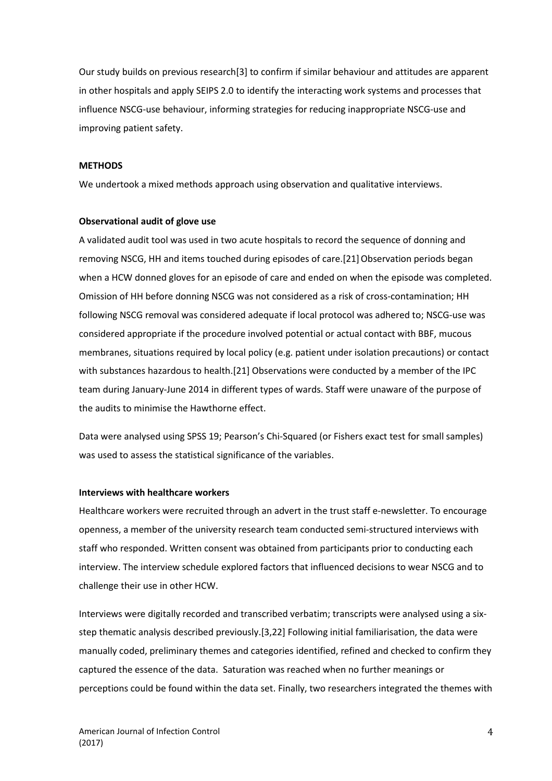Our study builds on previous research[3] to confirm if similar behaviour and attitudes are apparent in other hospitals and apply SEIPS 2.0 to identify the interacting work systems and processes that influence NSCG-use behaviour, informing strategies for reducing inappropriate NSCG-use and improving patient safety.

### **METHODS**

We undertook a mixed methods approach using observation and qualitative interviews.

### **Observational audit of glove use**

A validated audit tool was used in two acute hospitals to record the sequence of donning and removing NSCG, HH and items touched during episodes of care.[21] Observation periods began when a HCW donned gloves for an episode of care and ended on when the episode was completed. Omission of HH before donning NSCG was not considered as a risk of cross-contamination; HH following NSCG removal was considered adequate if local protocol was adhered to; NSCG-use was considered appropriate if the procedure involved potential or actual contact with BBF, mucous membranes, situations required by local policy (e.g. patient under isolation precautions) or contact with substances hazardous to health.[21] Observations were conducted by a member of the IPC team during January-June 2014 in different types of wards. Staff were unaware of the purpose of the audits to minimise the Hawthorne effect.

Data were analysed using SPSS 19; Pearson's Chi-Squared (or Fishers exact test for small samples) was used to assess the statistical significance of the variables.

### **Interviews with healthcare workers**

Healthcare workers were recruited through an advert in the trust staff e-newsletter. To encourage openness, a member of the university research team conducted semi-structured interviews with staff who responded. Written consent was obtained from participants prior to conducting each interview. The interview schedule explored factors that influenced decisions to wear NSCG and to challenge their use in other HCW.

Interviews were digitally recorded and transcribed verbatim; transcripts were analysed using a sixstep thematic analysis described previously.[3,22] Following initial familiarisation, the data were manually coded, preliminary themes and categories identified, refined and checked to confirm they captured the essence of the data. Saturation was reached when no further meanings or perceptions could be found within the data set. Finally, two researchers integrated the themes with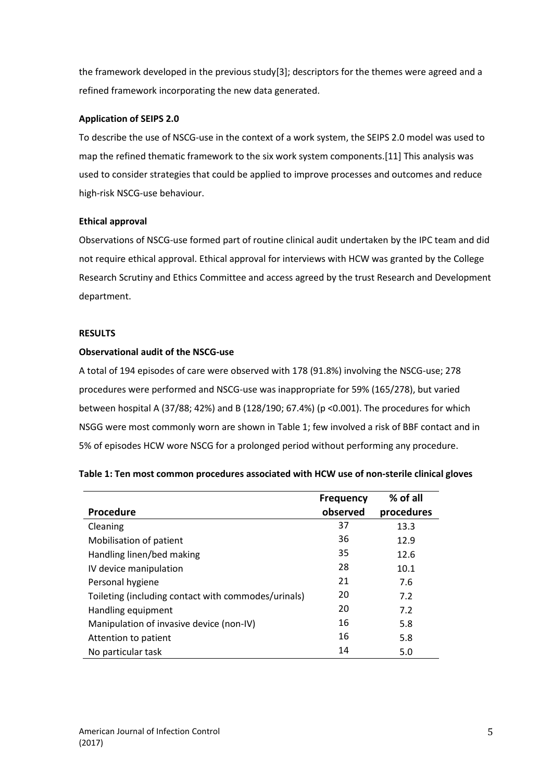the framework developed in the previous study[3]; descriptors for the themes were agreed and a refined framework incorporating the new data generated.

# **Application of SEIPS 2.0**

To describe the use of NSCG-use in the context of a work system, the SEIPS 2.0 model was used to map the refined thematic framework to the six work system components.[11] This analysis was used to consider strategies that could be applied to improve processes and outcomes and reduce high-risk NSCG-use behaviour.

# **Ethical approval**

Observations of NSCG-use formed part of routine clinical audit undertaken by the IPC team and did not require ethical approval. Ethical approval for interviews with HCW was granted by the College Research Scrutiny and Ethics Committee and access agreed by the trust Research and Development department.

### **RESULTS**

# **Observational audit of the NSCG-use**

A total of 194 episodes of care were observed with 178 (91.8%) involving the NSCG-use; 278 procedures were performed and NSCG-use was inappropriate for 59% (165/278), but varied between hospital A (37/88; 42%) and B (128/190; 67.4%) (p <0.001). The procedures for which NSGG were most commonly worn are shown in Table 1; few involved a risk of BBF contact and in 5% of episodes HCW wore NSCG for a prolonged period without performing any procedure.

| Table 1: Ten most common procedures associated with HCW use of non-sterile clinical gloves |  |  |  |
|--------------------------------------------------------------------------------------------|--|--|--|
|--------------------------------------------------------------------------------------------|--|--|--|

|                                                     | <b>Frequency</b> | % of all   |
|-----------------------------------------------------|------------------|------------|
| Procedure                                           | observed         | procedures |
| Cleaning                                            | 37               | 13.3       |
| Mobilisation of patient                             | 36               | 12.9       |
| Handling linen/bed making                           | 35               | 12.6       |
| IV device manipulation                              | 28               | 10.1       |
| Personal hygiene                                    | 21               | 7.6        |
| Toileting (including contact with commodes/urinals) | 20               | 7.2        |
| Handling equipment                                  | 20               | 7.2        |
| Manipulation of invasive device (non-IV)            | 16               | 5.8        |
| Attention to patient                                | 16               | 5.8        |
| No particular task                                  | 14               | 5.0        |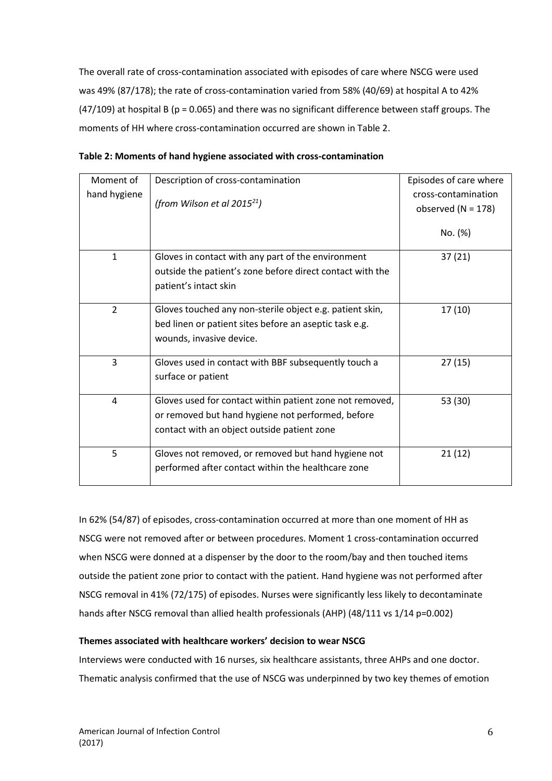The overall rate of cross-contamination associated with episodes of care where NSCG were used was 49% (87/178); the rate of cross-contamination varied from 58% (40/69) at hospital A to 42%  $(47/109)$  at hospital B (p = 0.065) and there was no significant difference between staff groups. The moments of HH where cross-contamination occurred are shown in Table 2.

| Moment of      | Description of cross-contamination                        | Episodes of care where |
|----------------|-----------------------------------------------------------|------------------------|
| hand hygiene   |                                                           | cross-contamination    |
|                | (from Wilson et al 2015 <sup>21</sup> )                   | observed ( $N = 178$ ) |
|                |                                                           |                        |
|                |                                                           | No. (%)                |
| $\mathbf{1}$   | Gloves in contact with any part of the environment        | 37(21)                 |
|                | outside the patient's zone before direct contact with the |                        |
|                |                                                           |                        |
|                | patient's intact skin                                     |                        |
| $\overline{2}$ | Gloves touched any non-sterile object e.g. patient skin,  | 17(10)                 |
|                | bed linen or patient sites before an aseptic task e.g.    |                        |
|                | wounds, invasive device.                                  |                        |
|                |                                                           |                        |
| 3              | Gloves used in contact with BBF subsequently touch a      | 27(15)                 |
|                | surface or patient                                        |                        |
|                |                                                           |                        |
| 4              | Gloves used for contact within patient zone not removed,  | 53 (30)                |
|                | or removed but hand hygiene not performed, before         |                        |
|                | contact with an object outside patient zone               |                        |
| 5              | Gloves not removed, or removed but hand hygiene not       | 21(12)                 |
|                | performed after contact within the healthcare zone        |                        |
|                |                                                           |                        |

| Table 2: Moments of hand hygiene associated with cross-contamination |  |
|----------------------------------------------------------------------|--|
|----------------------------------------------------------------------|--|

In 62% (54/87) of episodes, cross-contamination occurred at more than one moment of HH as NSCG were not removed after or between procedures. Moment 1 cross-contamination occurred when NSCG were donned at a dispenser by the door to the room/bay and then touched items outside the patient zone prior to contact with the patient. Hand hygiene was not performed after NSCG removal in 41% (72/175) of episodes. Nurses were significantly less likely to decontaminate hands after NSCG removal than allied health professionals (AHP) (48/111 vs 1/14 p=0.002)

# **Themes associated with healthcare workers' decision to wear NSCG**

Interviews were conducted with 16 nurses, six healthcare assistants, three AHPs and one doctor. Thematic analysis confirmed that the use of NSCG was underpinned by two key themes of emotion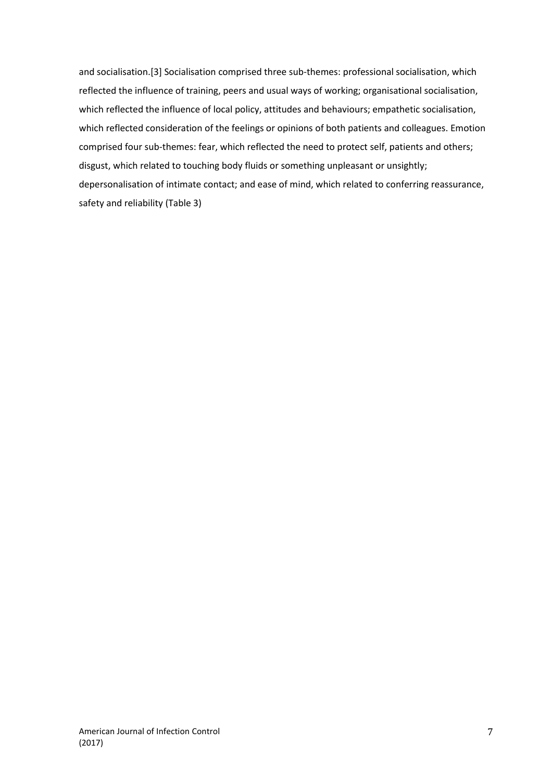and socialisation.[3] Socialisation comprised three sub-themes: professional socialisation, which reflected the influence of training, peers and usual ways of working; organisational socialisation, which reflected the influence of local policy, attitudes and behaviours; empathetic socialisation, which reflected consideration of the feelings or opinions of both patients and colleagues. Emotion comprised four sub-themes: fear, which reflected the need to protect self, patients and others; disgust, which related to touching body fluids or something unpleasant or unsightly; depersonalisation of intimate contact; and ease of mind, which related to conferring reassurance, safety and reliability (Table 3)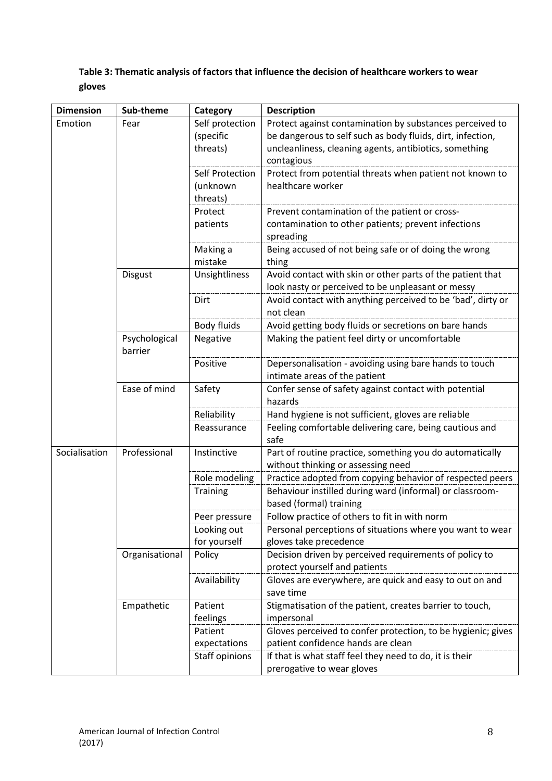# **Table 3: Thematic analysis of factors that influence the decision of healthcare workers to wear gloves**

| <b>Dimension</b> | Sub-theme                | Category        | <b>Description</b>                                                                             |
|------------------|--------------------------|-----------------|------------------------------------------------------------------------------------------------|
| Emotion          | Fear                     | Self protection | Protect against contamination by substances perceived to                                       |
|                  |                          | (specific       | be dangerous to self such as body fluids, dirt, infection,                                     |
|                  |                          | threats)        | uncleanliness, cleaning agents, antibiotics, something                                         |
|                  |                          |                 | contagious                                                                                     |
|                  |                          | Self Protection | Protect from potential threats when patient not known to                                       |
|                  |                          | (unknown        | healthcare worker                                                                              |
|                  |                          | threats)        |                                                                                                |
|                  |                          | Protect         | Prevent contamination of the patient or cross-                                                 |
|                  |                          | patients        | contamination to other patients; prevent infections                                            |
|                  |                          |                 | spreading                                                                                      |
|                  |                          | Making a        | Being accused of not being safe or of doing the wrong                                          |
|                  |                          | mistake         | thing                                                                                          |
|                  | <b>Disgust</b>           | Unsightliness   | Avoid contact with skin or other parts of the patient that                                     |
|                  |                          |                 | look nasty or perceived to be unpleasant or messy                                              |
|                  |                          | Dirt            | Avoid contact with anything perceived to be 'bad', dirty or                                    |
|                  |                          |                 | not clean                                                                                      |
|                  |                          | Body fluids     | Avoid getting body fluids or secretions on bare hands                                          |
|                  | Psychological<br>barrier | Negative        | Making the patient feel dirty or uncomfortable                                                 |
|                  |                          | Positive        | Depersonalisation - avoiding using bare hands to touch                                         |
|                  |                          |                 | intimate areas of the patient                                                                  |
|                  | Ease of mind             | Safety          | Confer sense of safety against contact with potential                                          |
|                  |                          |                 | hazards                                                                                        |
|                  |                          | Reliability     | Hand hygiene is not sufficient, gloves are reliable                                            |
|                  |                          | Reassurance     | Feeling comfortable delivering care, being cautious and                                        |
|                  |                          |                 | safe                                                                                           |
| Socialisation    | Professional             | Instinctive     | Part of routine practice, something you do automatically<br>without thinking or assessing need |
|                  |                          | Role modeling   | Practice adopted from copying behavior of respected peers                                      |
|                  |                          | <b>Training</b> | Behaviour instilled during ward (informal) or classroom-                                       |
|                  |                          |                 | based (formal) training                                                                        |
|                  |                          | Peer pressure   | Follow practice of others to fit in with norm                                                  |
|                  |                          | Looking out     | Personal perceptions of situations where you want to wear                                      |
|                  |                          | for yourself    | gloves take precedence                                                                         |
|                  | Organisational           | Policy          | Decision driven by perceived requirements of policy to                                         |
|                  |                          |                 | protect yourself and patients                                                                  |
|                  |                          | Availability    | Gloves are everywhere, are quick and easy to out on and                                        |
|                  |                          |                 | save time                                                                                      |
|                  | Empathetic               | Patient         | Stigmatisation of the patient, creates barrier to touch,                                       |
|                  |                          | feelings        | impersonal                                                                                     |
|                  |                          | Patient         | Gloves perceived to confer protection, to be hygienic; gives                                   |
|                  |                          | expectations    | patient confidence hands are clean                                                             |
|                  |                          | Staff opinions  | If that is what staff feel they need to do, it is their                                        |
|                  |                          |                 | prerogative to wear gloves                                                                     |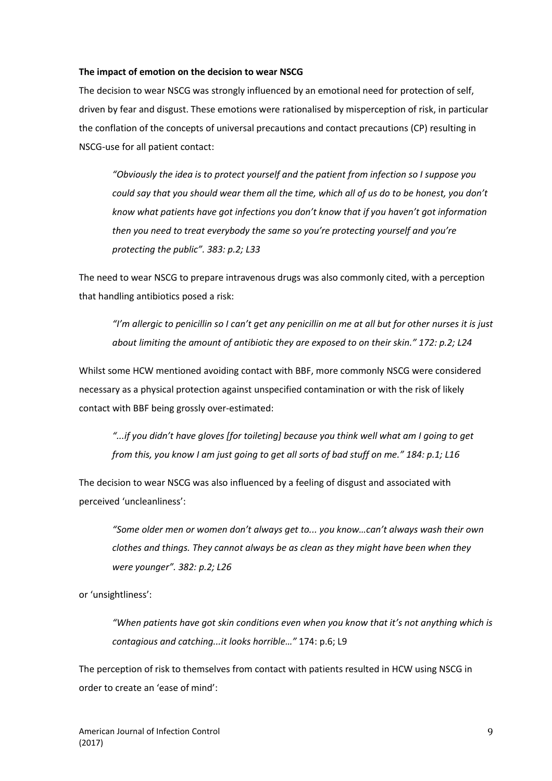### **The impact of emotion on the decision to wear NSCG**

The decision to wear NSCG was strongly influenced by an emotional need for protection of self, driven by fear and disgust. These emotions were rationalised by misperception of risk, in particular the conflation of the concepts of universal precautions and contact precautions (CP) resulting in NSCG-use for all patient contact:

*"Obviously the idea is to protect yourself and the patient from infection so I suppose you could say that you should wear them all the time, which all of us do to be honest, you don't know what patients have got infections you don't know that if you haven't got information then you need to treat everybody the same so you're protecting yourself and you're protecting the public". 383: p.2; L33*

The need to wear NSCG to prepare intravenous drugs was also commonly cited, with a perception that handling antibiotics posed a risk:

*"I'm allergic to penicillin so I can't get any penicillin on me at all but for other nurses it is just about limiting the amount of antibiotic they are exposed to on their skin." 172: p.2; L24*

Whilst some HCW mentioned avoiding contact with BBF, more commonly NSCG were considered necessary as a physical protection against unspecified contamination or with the risk of likely contact with BBF being grossly over-estimated:

*"...if you didn't have gloves [for toileting] because you think well what am I going to get from this, you know I am just going to get all sorts of bad stuff on me." 184: p.1; L16*

The decision to wear NSCG was also influenced by a feeling of disgust and associated with perceived 'uncleanliness':

*"Some older men or women don't always get to... you know…can't always wash their own clothes and things. They cannot always be as clean as they might have been when they were younger". 382: p.2; L26*

or 'unsightliness':

*"When patients have got skin conditions even when you know that it's not anything which is contagious and catching...it looks horrible…"* 174: p.6; L9

The perception of risk to themselves from contact with patients resulted in HCW using NSCG in order to create an 'ease of mind':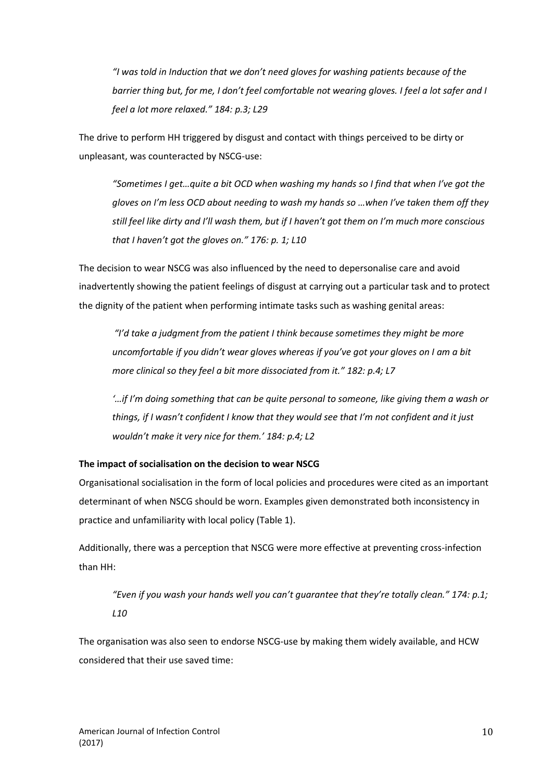*"I was told in Induction that we don't need gloves for washing patients because of the barrier thing but, for me, I don't feel comfortable not wearing gloves. I feel a lot safer and I feel a lot more relaxed." 184: p.3; L29*

The drive to perform HH triggered by disgust and contact with things perceived to be dirty or unpleasant, was counteracted by NSCG-use:

*"Sometimes I get…quite a bit OCD when washing my hands so I find that when I've got the gloves on I'm less OCD about needing to wash my hands so …when I've taken them off they still feel like dirty and I'll wash them, but if I haven't got them on I'm much more conscious that I haven't got the gloves on." 176: p. 1; L10*

The decision to wear NSCG was also influenced by the need to depersonalise care and avoid inadvertently showing the patient feelings of disgust at carrying out a particular task and to protect the dignity of the patient when performing intimate tasks such as washing genital areas:

*"I'd take a judgment from the patient I think because sometimes they might be more uncomfortable if you didn't wear gloves whereas if you've got your gloves on I am a bit more clinical so they feel a bit more dissociated from it." 182: p.4; L7*

*'…if I'm doing something that can be quite personal to someone, like giving them a wash or things, if I wasn't confident I know that they would see that I'm not confident and it just wouldn't make it very nice for them.' 184: p.4; L2*

# **The impact of socialisation on the decision to wear NSCG**

Organisational socialisation in the form of local policies and procedures were cited as an important determinant of when NSCG should be worn. Examples given demonstrated both inconsistency in practice and unfamiliarity with local policy (Table 1).

Additionally, there was a perception that NSCG were more effective at preventing cross-infection than HH:

*"Even if you wash your hands well you can't guarantee that they're totally clean." 174: p.1; L10*

The organisation was also seen to endorse NSCG-use by making them widely available, and HCW considered that their use saved time: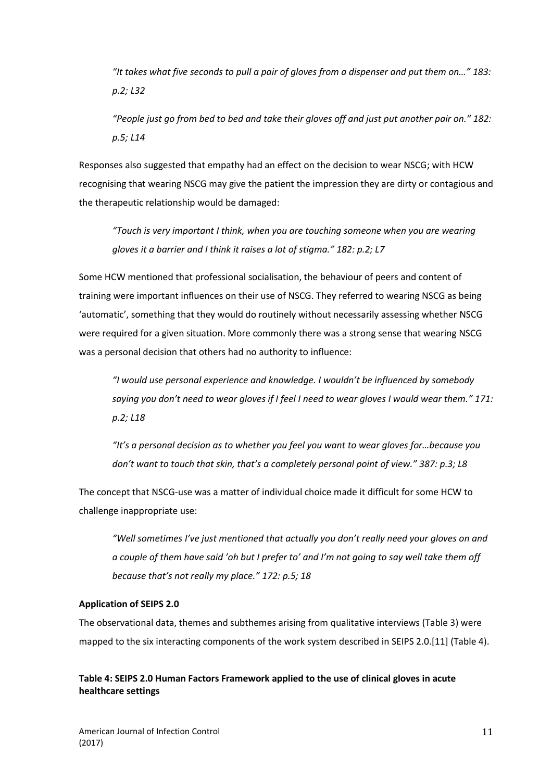*"It takes what five seconds to pull a pair of gloves from a dispenser and put them on…" 183: p.2; L32*

*"People just go from bed to bed and take their gloves off and just put another pair on." 182: p.5; L14*

Responses also suggested that empathy had an effect on the decision to wear NSCG; with HCW recognising that wearing NSCG may give the patient the impression they are dirty or contagious and the therapeutic relationship would be damaged:

*"Touch is very important I think, when you are touching someone when you are wearing gloves it a barrier and I think it raises a lot of stigma." 182: p.2; L7*

Some HCW mentioned that professional socialisation, the behaviour of peers and content of training were important influences on their use of NSCG. They referred to wearing NSCG as being 'automatic', something that they would do routinely without necessarily assessing whether NSCG were required for a given situation. More commonly there was a strong sense that wearing NSCG was a personal decision that others had no authority to influence:

*"I would use personal experience and knowledge. I wouldn't be influenced by somebody saying you don't need to wear gloves if I feel I need to wear gloves I would wear them." 171: p.2; L18*

*"It's a personal decision as to whether you feel you want to wear gloves for…because you don't want to touch that skin, that's a completely personal point of view." 387: p.3; L8*

The concept that NSCG-use was a matter of individual choice made it difficult for some HCW to challenge inappropriate use:

*"Well sometimes I've just mentioned that actually you don't really need your gloves on and a couple of them have said 'oh but I prefer to' and I'm not going to say well take them off because that's not really my place." 172: p.5; 18*

### **Application of SEIPS 2.0**

The observational data, themes and subthemes arising from qualitative interviews (Table 3) were mapped to the six interacting components of the work system described in SEIPS 2.0.[11] (Table 4).

# **Table 4: SEIPS 2.0 Human Factors Framework applied to the use of clinical gloves in acute healthcare settings**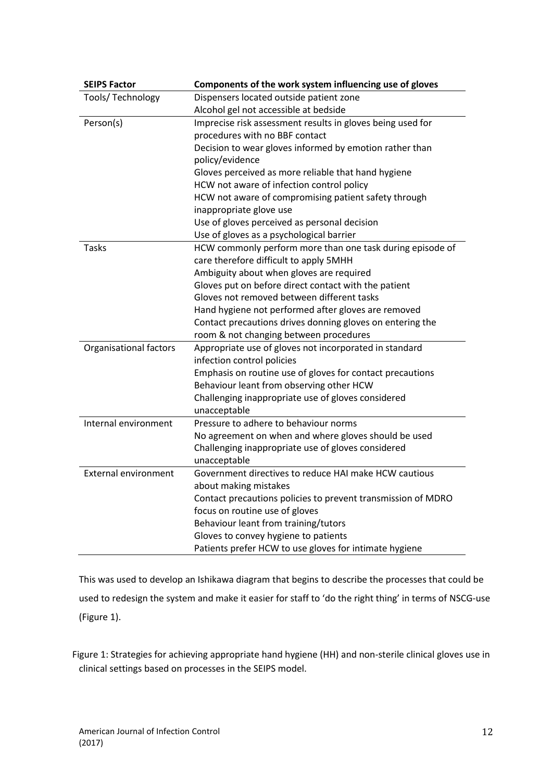| <b>SEIPS Factor</b>         | Components of the work system influencing use of gloves      |
|-----------------------------|--------------------------------------------------------------|
| Tools/ Technology           | Dispensers located outside patient zone                      |
|                             | Alcohol gel not accessible at bedside                        |
| Person(s)                   | Imprecise risk assessment results in gloves being used for   |
|                             | procedures with no BBF contact                               |
|                             | Decision to wear gloves informed by emotion rather than      |
|                             | policy/evidence                                              |
|                             | Gloves perceived as more reliable that hand hygiene          |
|                             | HCW not aware of infection control policy                    |
|                             | HCW not aware of compromising patient safety through         |
|                             | inappropriate glove use                                      |
|                             | Use of gloves perceived as personal decision                 |
|                             | Use of gloves as a psychological barrier                     |
| Tasks                       | HCW commonly perform more than one task during episode of    |
|                             | care therefore difficult to apply 5MHH                       |
|                             | Ambiguity about when gloves are required                     |
|                             | Gloves put on before direct contact with the patient         |
|                             | Gloves not removed between different tasks                   |
|                             | Hand hygiene not performed after gloves are removed          |
|                             | Contact precautions drives donning gloves on entering the    |
|                             | room & not changing between procedures                       |
| Organisational factors      | Appropriate use of gloves not incorporated in standard       |
|                             | infection control policies                                   |
|                             | Emphasis on routine use of gloves for contact precautions    |
|                             | Behaviour leant from observing other HCW                     |
|                             | Challenging inappropriate use of gloves considered           |
|                             | unacceptable                                                 |
| Internal environment        | Pressure to adhere to behaviour norms                        |
|                             | No agreement on when and where gloves should be used         |
|                             | Challenging inappropriate use of gloves considered           |
|                             | unacceptable                                                 |
| <b>External environment</b> | Government directives to reduce HAI make HCW cautious        |
|                             | about making mistakes                                        |
|                             | Contact precautions policies to prevent transmission of MDRO |
|                             | focus on routine use of gloves                               |
|                             | Behaviour leant from training/tutors                         |
|                             | Gloves to convey hygiene to patients                         |
|                             | Patients prefer HCW to use gloves for intimate hygiene       |

This was used to develop an Ishikawa diagram that begins to describe the processes that could be used to redesign the system and make it easier for staff to 'do the right thing' in terms of NSCG-use (Figure 1).

Figure 1: Strategies for achieving appropriate hand hygiene (HH) and non-sterile clinical gloves use in clinical settings based on processes in the SEIPS model.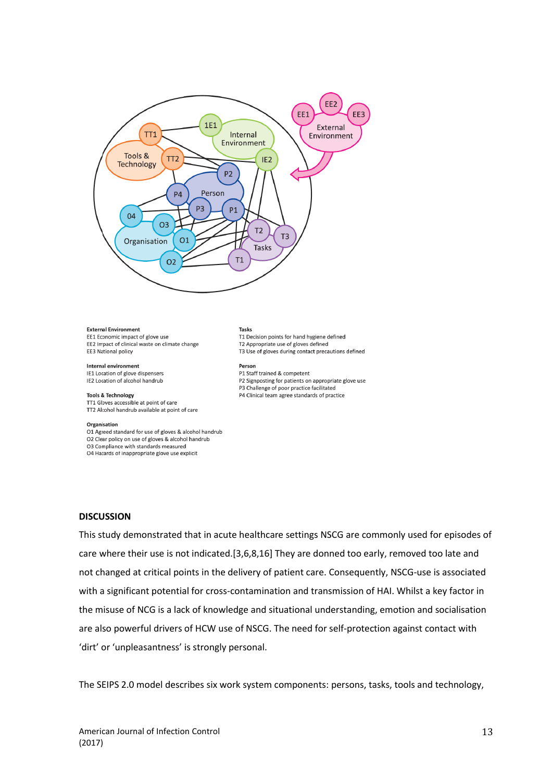

#### **External Environment**

EE1 Economic impact of glove use EE2 Impact of clinical waste on climate change EE3 National policy

#### Internal environment

IE1 Location of glove dispensers IE2 Location of alcohol handrub

#### **Tools & Technology**

TT1 Gloves accessible at point of care TT2 Alcohol handrub available at point of care

#### Organisation

O1 Agreed standard for use of gloves & alcohol handrub O2 Clear policy on use of gloves & alcohol handrub O3 Compliance with standards measured

O4 Hazards of inappropriate glove use explicit

# **Tasks**

T1 Decision points for hand hygiene defined T2 Appropriate use of gloves defined T3 Use of gloves during contact precautions defined

Person P1 Staff trained & competent

P2 Signposting for patients on appropriate glove use P3 Challenge of poor practice facilitated P4 Clinical team agree standards of practice

### **DISCUSSION**

This study demonstrated that in acute healthcare settings NSCG are commonly used for episodes of care where their use is not indicated.[3,6,8,16] They are donned too early, removed too late and not changed at critical points in the delivery of patient care. Consequently, NSCG-use is associated with a significant potential for cross-contamination and transmission of HAI. Whilst a key factor in the misuse of NCG is a lack of knowledge and situational understanding, emotion and socialisation are also powerful drivers of HCW use of NSCG. The need for self-protection against contact with 'dirt' or 'unpleasantness' is strongly personal.

The SEIPS 2.0 model describes six work system components: persons, tasks, tools and technology,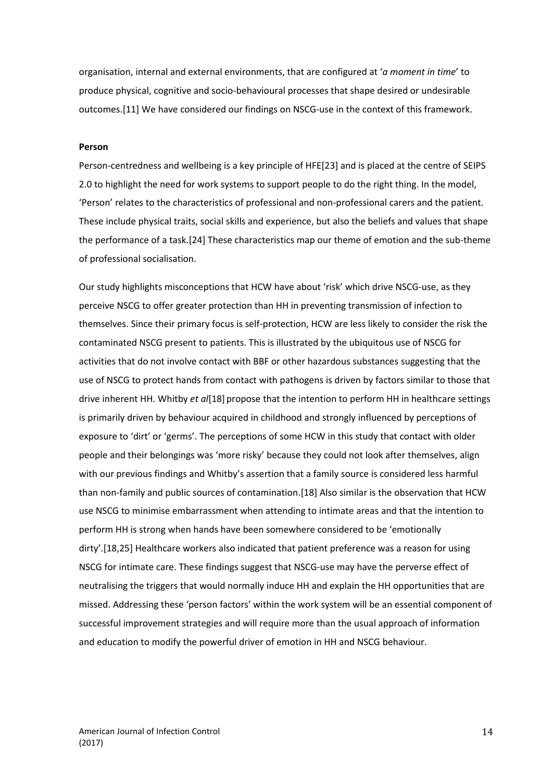organisation, internal and external environments, that are configured at '*a moment in time*' to produce physical, cognitive and socio-behavioural processes that shape desired or undesirable outcomes.[11] We have considered our findings on NSCG-use in the context of this framework.

### **Person**

Person-centredness and wellbeing is a key principle of HFE[23] and is placed at the centre of SEIPS 2.0 to highlight the need for work systems to support people to do the right thing. In the model, 'Person' relates to the characteristics of professional and non-professional carers and the patient. These include physical traits, social skills and experience, but also the beliefs and values that shape the performance of a task.[24] These characteristics map our theme of emotion and the sub-theme of professional socialisation.

Our study highlights misconceptions that HCW have about 'risk' which drive NSCG-use, as they perceive NSCG to offer greater protection than HH in preventing transmission of infection to themselves. Since their primary focus is self-protection, HCW are less likely to consider the risk the contaminated NSCG present to patients. This is illustrated by the ubiquitous use of NSCG for activities that do not involve contact with BBF or other hazardous substances suggesting that the use of NSCG to protect hands from contact with pathogens is driven by factors similar to those that drive inherent HH. Whitby *et al*[18] propose that the intention to perform HH in healthcare settings is primarily driven by behaviour acquired in childhood and strongly influenced by perceptions of exposure to 'dirt' or 'germs'. The perceptions of some HCW in this study that contact with older people and their belongings was 'more risky' because they could not look after themselves, align with our previous findings and Whitby's assertion that a family source is considered less harmful than non-family and public sources of contamination.[18] Also similar is the observation that HCW use NSCG to minimise embarrassment when attending to intimate areas and that the intention to perform HH is strong when hands have been somewhere considered to be 'emotionally dirty'.[18,25] Healthcare workers also indicated that patient preference was a reason for using NSCG for intimate care. These findings suggest that NSCG-use may have the perverse effect of neutralising the triggers that would normally induce HH and explain the HH opportunities that are missed. Addressing these 'person factors' within the work system will be an essential component of successful improvement strategies and will require more than the usual approach of information and education to modify the powerful driver of emotion in HH and NSCG behaviour.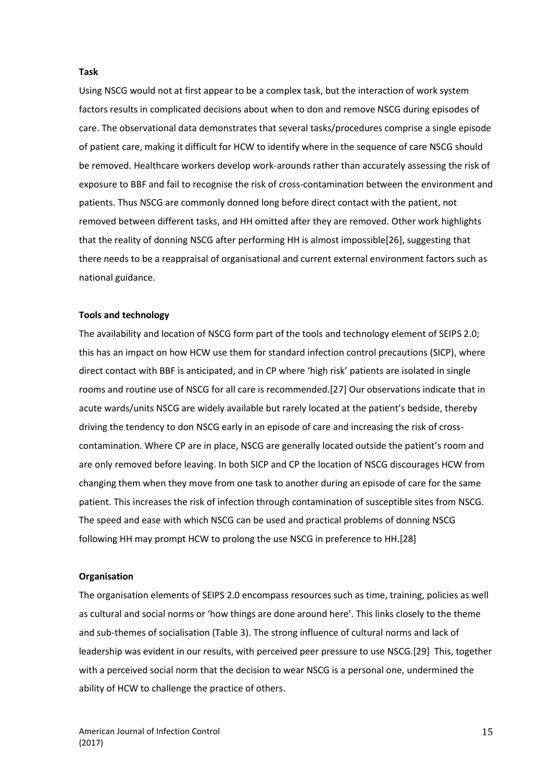### **Task**

Using NSCG would not at first appear to be a complex task, but the interaction of work system factors results in complicated decisions about when to don and remove NSCG during episodes of care. The observational data demonstrates that several tasks/procedures comprise a single episode of patient care, making it difficult for HCW to identify where in the sequence of care NSCG should be removed. Healthcare workers develop work-arounds rather than accurately assessing the risk of exposure to BBF and fail to recognise the risk of cross-contamination between the environment and patients. Thus NSCG are commonly donned long before direct contact with the patient, not removed between different tasks, and HH omitted after they are removed. Other work highlights that the reality of donning NSCG after performing HH is almost impossible[26], suggesting that there needs to be a reappraisal of organisational and current external environment factors such as national guidance.

### **Tools and technology**

The availability and location of NSCG form part of the tools and technology element of SEIPS 2.0; this has an impact on how HCW use them for standard infection control precautions (SICP), where direct contact with BBF is anticipated, and in CP where 'high risk' patients are isolated in single rooms and routine use of NSCG for all care is recommended.[27] Our observations indicate that in acute wards/units NSCG are widely available but rarely located at the patient's bedside, thereby driving the tendency to don NSCG early in an episode of care and increasing the risk of crosscontamination. Where CP are in place, NSCG are generally located outside the patient's room and are only removed before leaving. In both SICP and CP the location of NSCG discourages HCW from changing them when they move from one task to another during an episode of care for the same patient. This increases the risk of infection through contamination of susceptible sites from NSCG. The speed and ease with which NSCG can be used and practical problems of donning NSCG following HH may prompt HCW to prolong the use NSCG in preference to HH.[28]

### **Organisation**

The organisation elements of SEIPS 2.0 encompass resources such as time, training, policies as well as cultural and social norms or 'how things are done around here'. This links closely to the theme and sub-themes of socialisation (Table 3). The strong influence of cultural norms and lack of leadership was evident in our results, with perceived peer pressure to use NSCG.[29] This, together with a perceived social norm that the decision to wear NSCG is a personal one, undermined the ability of HCW to challenge the practice of others.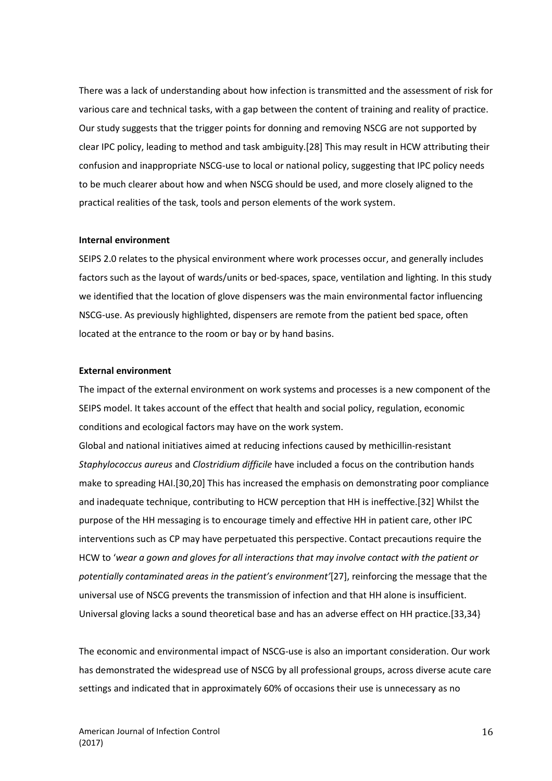There was a lack of understanding about how infection is transmitted and the assessment of risk for various care and technical tasks, with a gap between the content of training and reality of practice. Our study suggests that the trigger points for donning and removing NSCG are not supported by clear IPC policy, leading to method and task ambiguity.[28] This may result in HCW attributing their confusion and inappropriate NSCG-use to local or national policy, suggesting that IPC policy needs to be much clearer about how and when NSCG should be used, and more closely aligned to the practical realities of the task, tools and person elements of the work system.

### **Internal environment**

SEIPS 2.0 relates to the physical environment where work processes occur, and generally includes factors such as the layout of wards/units or bed-spaces, space, ventilation and lighting. In this study we identified that the location of glove dispensers was the main environmental factor influencing NSCG-use. As previously highlighted, dispensers are remote from the patient bed space, often located at the entrance to the room or bay or by hand basins.

### **External environment**

The impact of the external environment on work systems and processes is a new component of the SEIPS model. It takes account of the effect that health and social policy, regulation, economic conditions and ecological factors may have on the work system.

Global and national initiatives aimed at reducing infections caused by methicillin-resistant *Staphylococcus aureus* and *Clostridium difficile* have included a focus on the contribution hands make to spreading HAI.[30,20] This has increased the emphasis on demonstrating poor compliance and inadequate technique, contributing to HCW perception that HH is ineffective.[32] Whilst the purpose of the HH messaging is to encourage timely and effective HH in patient care, other IPC interventions such as CP may have perpetuated this perspective. Contact precautions require the HCW to '*wear a gown and gloves for all interactions that may involve contact with the patient or potentially contaminated areas in the patient's environment'*[27], reinforcing the message that the universal use of NSCG prevents the transmission of infection and that HH alone is insufficient. Universal gloving lacks a sound theoretical base and has an adverse effect on HH practice.[33,34}

The economic and environmental impact of NSCG-use is also an important consideration. Our work has demonstrated the widespread use of NSCG by all professional groups, across diverse acute care settings and indicated that in approximately 60% of occasions their use is unnecessary as no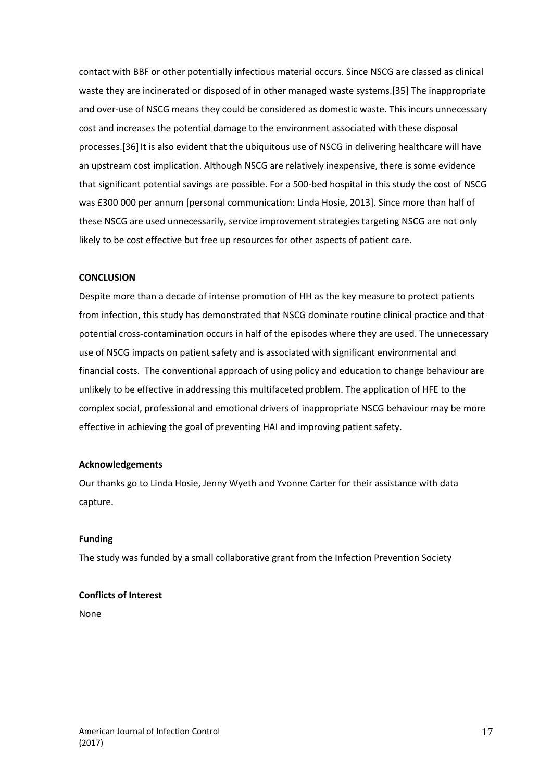contact with BBF or other potentially infectious material occurs. Since NSCG are classed as clinical waste they are incinerated or disposed of in other managed waste systems.[35] The inappropriate and over-use of NSCG means they could be considered as domestic waste. This incurs unnecessary cost and increases the potential damage to the environment associated with these disposal processes.[36] It is also evident that the ubiquitous use of NSCG in delivering healthcare will have an upstream cost implication. Although NSCG are relatively inexpensive, there is some evidence that significant potential savings are possible. For a 500-bed hospital in this study the cost of NSCG was £300 000 per annum [personal communication: Linda Hosie, 2013]. Since more than half of these NSCG are used unnecessarily, service improvement strategies targeting NSCG are not only likely to be cost effective but free up resources for other aspects of patient care.

### **CONCLUSION**

Despite more than a decade of intense promotion of HH as the key measure to protect patients from infection, this study has demonstrated that NSCG dominate routine clinical practice and that potential cross-contamination occurs in half of the episodes where they are used. The unnecessary use of NSCG impacts on patient safety and is associated with significant environmental and financial costs. The conventional approach of using policy and education to change behaviour are unlikely to be effective in addressing this multifaceted problem. The application of HFE to the complex social, professional and emotional drivers of inappropriate NSCG behaviour may be more effective in achieving the goal of preventing HAI and improving patient safety.

### **Acknowledgements**

Our thanks go to Linda Hosie, Jenny Wyeth and Yvonne Carter for their assistance with data capture.

### **Funding**

The study was funded by a small collaborative grant from the Infection Prevention Society

### **Conflicts of Interest**

None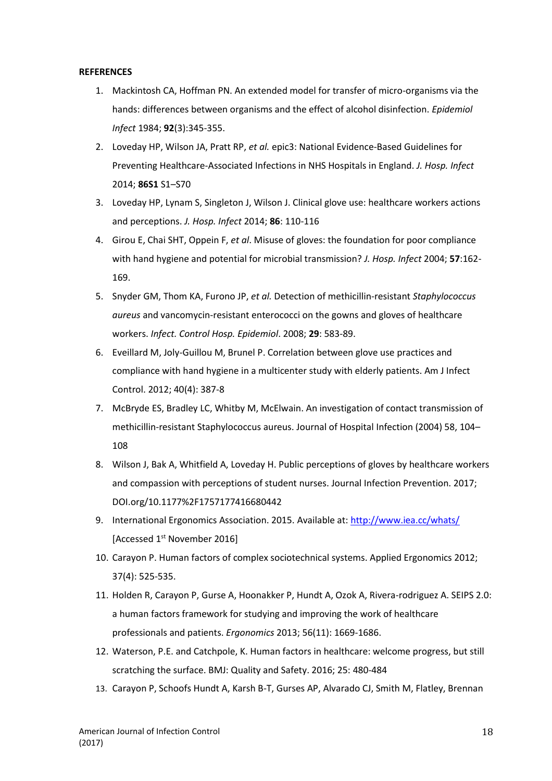### **REFERENCES**

- 1. Mackintosh CA, Hoffman PN. An extended model for transfer of micro-organisms via the hands: differences between organisms and the effect of alcohol disinfection. *Epidemiol Infect* 1984; **92**(3):345-355.
- 2. Loveday HP, Wilson JA, Pratt RP, *et al.* epic3: National Evidence-Based Guidelines for Preventing Healthcare-Associated Infections in NHS Hospitals in England. *J. Hosp. Infect* 2014; **86S1** S1–S70
- 3. Loveday HP, Lynam S, Singleton J, Wilson J. Clinical glove use: healthcare workers actions and perceptions. *J. Hosp. Infect* 2014; **86**: 110-116
- 4. Girou E, Chai SHT, Oppein F, *et al*. Misuse of gloves: the foundation for poor compliance with hand hygiene and potential for microbial transmission? *J. Hosp. Infect* 2004; **57**:162- 169.
- 5. Snyder GM, Thom KA, Furono JP, *et al.* Detection of methicillin-resistant *Staphylococcus aureus* and vancomycin-resistant enterococci on the gowns and gloves of healthcare workers. *Infect. Control Hosp. Epidemiol*. 2008; **29**: 583-89.
- 6. Eveillard M, Joly-Guillou M, Brunel P. Correlation between glove use practices and compliance with hand hygiene in a multicenter study with elderly patients. Am J Infect Control. 2012; 40(4): 387-8
- 7. McBryde ES, Bradley LC, Whitby M, McElwain. An investigation of contact transmission of methicillin-resistant Staphylococcus aureus. Journal of Hospital Infection (2004) 58, 104– 108
- 8. Wilson J, Bak A, Whitfield A, Loveday H. Public perceptions of gloves by healthcare workers and compassion with perceptions of student nurses. Journal Infection Prevention. 2017; DOI.org/10.1177%2F1757177416680442
- 9. International Ergonomics Association. 2015. Available at: <http://www.iea.cc/whats/> [Accessed 1<sup>st</sup> November 2016]
- 10. Carayon P. Human factors of complex sociotechnical systems. Applied Ergonomics 2012; 37(4): 525-535.
- 11. Holden R, Carayon P, Gurse A, Hoonakker P, Hundt A, Ozok A, Rivera-rodriguez A. SEIPS 2.0: a human factors framework for studying and improving the work of healthcare professionals and patients. *Ergonomics* 2013; 56(11): 1669-1686.
- 12. Waterson, P.E. and Catchpole, K. Human factors in healthcare: welcome progress, but still scratching the surface. BMJ: Quality and Safety. 2016; 25: 480-484
- 13. Carayon P, Schoofs Hundt A, Karsh B-T, Gurses AP, Alvarado CJ, Smith M, Flatley, Brennan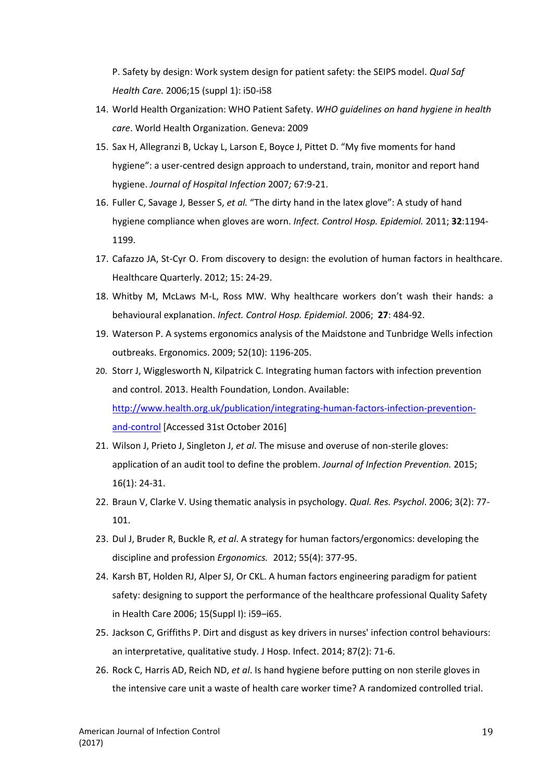P. Safety by design: Work system design for patient safety: the SEIPS model. *Qual Saf Health Care.* 2006;15 (suppl 1): i50-i58

- 14. World Health Organization: WHO Patient Safety. *WHO guidelines on hand hygiene in health care*. World Health Organization. Geneva: 2009
- 15. Sax H, Allegranzi B, Uckay L, Larson E, Boyce J, Pittet D. "My five moments for hand hygiene": a user-centred design approach to understand, train, monitor and report hand hygiene. *Journal of Hospital Infection* 2007*;* 67:9-21.
- 16. Fuller C, Savage J, Besser S, *et al.* "The dirty hand in the latex glove": A study of hand hygiene compliance when gloves are worn. *Infect. Control Hosp. Epidemiol.* 2011; **32**:1194- 1199.
- 17. Cafazzo JA, St-Cyr O. From discovery to design: the evolution of human factors in healthcare. Healthcare Quarterly. 2012; 15: 24-29.
- 18. Whitby M, McLaws M-L, Ross MW. Why healthcare workers don't wash their hands: a behavioural explanation. *Infect. Control Hosp. Epidemiol*. 2006; **27**: 484-92.
- 19. Waterson P. A systems ergonomics analysis of the Maidstone and Tunbridge Wells infection outbreaks. Ergonomics. 2009; 52(10): 1196-205.
- 20. Storr J, Wigglesworth N, Kilpatrick C. Integrating human factors with infection prevention and control. 2013. Health Foundation, London. Available: [http://www.health.org.uk/publication/integrating-human-factors-infection-prevention](http://www.health.org.uk/publication/integrating-human-factors-infection-prevention-and-control)[and-control](http://www.health.org.uk/publication/integrating-human-factors-infection-prevention-and-control) [Accessed 31st October 2016]
- 21. Wilson J, Prieto J, Singleton J, *et al*. The misuse and overuse of non-sterile gloves: application of an audit tool to define the problem. *Journal of Infection Prevention.* 2015; 16(1): 24-31.
- 22. Braun V, Clarke V. Using thematic analysis in psychology. *Qual. Res. Psychol*. 2006; 3(2): 77- 101.
- 23. Dul J, Bruder R, Buckle R, *et al*. A strategy for human factors/ergonomics: developing the discipline and profession *Ergonomics.* 2012; 55(4): 377-95.
- 24. Karsh BT, Holden RJ, Alper SJ, Or CKL. A human factors engineering paradigm for patient safety: designing to support the performance of the healthcare professional Quality Safety in Health Care 2006; 15(Suppl I): i59–i65.
- 25. Jackson C, Griffiths P. Dirt and disgust as key drivers in nurses' infection control behaviours: an interpretative, qualitative study. J Hosp. Infect. 2014; 87(2): 71-6.
- 26. Rock C, Harris AD, Reich ND, *et al*. Is hand hygiene before putting on non sterile gloves in the intensive care unit a waste of health care worker time? A randomized controlled trial.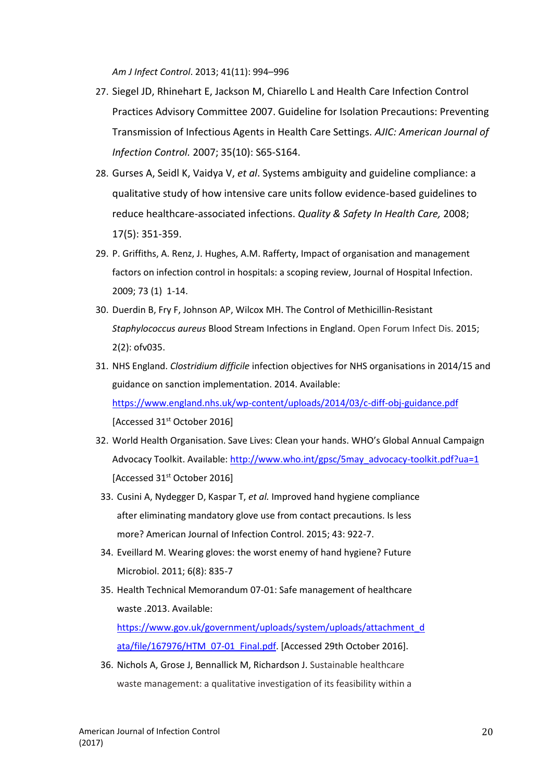*Am J Infect Control*. 2013; 41(11): 994–996

- 27. Siegel JD, Rhinehart E, Jackson M, Chiarello L and Health Care Infection Control Practices Advisory Committee 2007. Guideline for Isolation Precautions: Preventing Transmission of Infectious Agents in Health Care Settings. *AJIC: American Journal of Infection Control.* 2007; 35(10): S65-S164.
- 28. Gurses A, Seidl K, Vaidya V, *et al*. Systems ambiguity and guideline compliance: a qualitative study of how intensive care units follow evidence-based guidelines to reduce healthcare-associated infections. *Quality & Safety In Health Care,* 2008; 17(5): 351-359.
- 29. P. Griffiths, A. Renz, J. Hughes, A.M. Rafferty, Impact of organisation and management factors on infection control in hospitals: a scoping review, Journal of Hospital Infection. 2009; 73 (1) 1-14.
- 30. Duerdin B, Fry F, Johnson AP, Wilcox MH. The Control of Methicillin-Resistant *Staphylococcus aureus* Blood Stream Infections in England. Open Forum Infect Dis. 2015; 2(2): ofv035.
- 31. NHS England. *Clostridium difficile* infection objectives for NHS organisations in 2014/15 and guidance on sanction implementation. 2014. Available: <https://www.england.nhs.uk/wp-content/uploads/2014/03/c-diff-obj-guidance.pdf> [Accessed 31<sup>st</sup> October 2016]
- 32. World Health Organisation. Save Lives: Clean your hands. WHO's Global Annual Campaign Advocacy Toolkit. Available: [http://www.who.int/gpsc/5may\\_advocacy-toolkit.pdf?ua=1](http://www.who.int/gpsc/5may_advocacy-toolkit.pdf?ua=1) [Accessed 31<sup>st</sup> October 2016]
- 33. Cusini A, Nydegger D, Kaspar T, *et al.* Improved hand hygiene compliance after eliminating mandatory glove use from contact precautions. Is less more? American Journal of Infection Control. 2015; 43: 922-7.
- 34. Eveillard M. Wearing gloves: the worst enemy of hand hygiene? Future Microbiol. 2011; 6(8): 835-7
- 35. Health Technical Memorandum 07-01: Safe management of healthcare waste .2013. Available: [https://www.gov.uk/government/uploads/system/uploads/attachment\\_d](https://www.gov.uk/government/uploads/system/uploads/attachment_data/file/167976/HTM_07-01_Final.pdf) [ata/file/167976/HTM\\_07-01\\_Final.pdf.](https://www.gov.uk/government/uploads/system/uploads/attachment_data/file/167976/HTM_07-01_Final.pdf) [Accessed 29th October 2016].
- 36. Nichols A, Grose J, Bennallick M, Richardson J. Sustainable healthcare waste management: a qualitative investigation of its feasibility within a